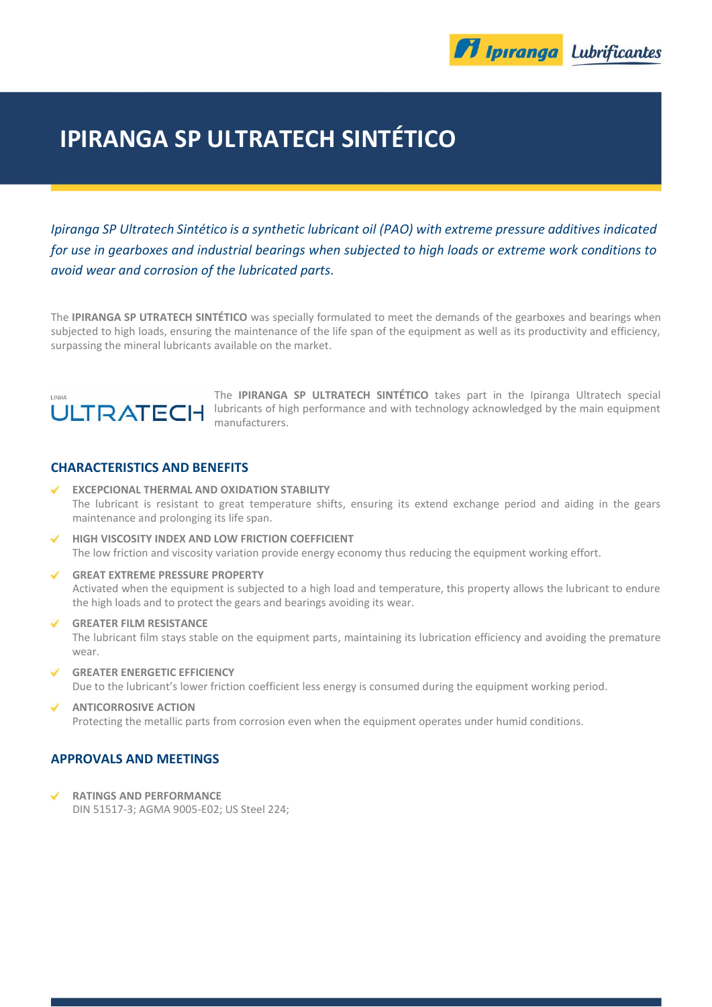

# **IPIRANGA SP ULTRATECH SINTÉTICO**

*Ipiranga SP Ultratech Sintético is a synthetic lubricant oil (PAO) with extreme pressure additives indicated for use in gearboxes and industrial bearings when subjected to high loads or extreme work conditions to avoid wear and corrosion of the lubricated parts.*

The **IPIRANGA SP UTRATECH SINTÉTICO** was specially formulated to meet the demands of the gearboxes and bearings when subjected to high loads, ensuring the maintenance of the life span of the equipment as well as its productivity and efficiency, surpassing the mineral lubricants available on the market.



The **IPIRANGA SP ULTRATECH SINTÉTICO** takes part in the Ipiranga Ultratech special lubricants of high performance and with technology acknowledged by the main equipment manufacturers.

### **CHARACTERISTICS AND BENEFITS**

- **EXCEPCIONAL THERMAL AND OXIDATION STABILITY** ✓ The lubricant is resistant to great temperature shifts, ensuring its extend exchange period and aiding in the gears maintenance and prolonging its life span.
- **HIGH VISCOSITY INDEX AND LOW FRICTION COEFFICIENT** The low friction and viscosity variation provide energy economy thus reducing the equipment working effort.
- **GREAT EXTREME PRESSURE PROPERTY** Activated when the equipment is subjected to a high load and temperature, this property allows the lubricant to endure the high loads and to protect the gears and bearings avoiding its wear.
- **GREATER FILM RESISTANCE** The lubricant film stays stable on the equipment parts, maintaining its lubrication efficiency and avoiding the premature wear.
- **GREATER ENERGETIC EFFICIENCY** Due to the lubricant's lower friction coefficient less energy is consumed during the equipment working period.
- **ANTICORROSIVE ACTION** Protecting the metallic parts from corrosion even when the equipment operates under humid conditions.

#### **APPROVALS AND MEETINGS**

**RATINGS AND PERFORMANCE** DIN 51517-3; AGMA 9005-E02; US Steel 224;